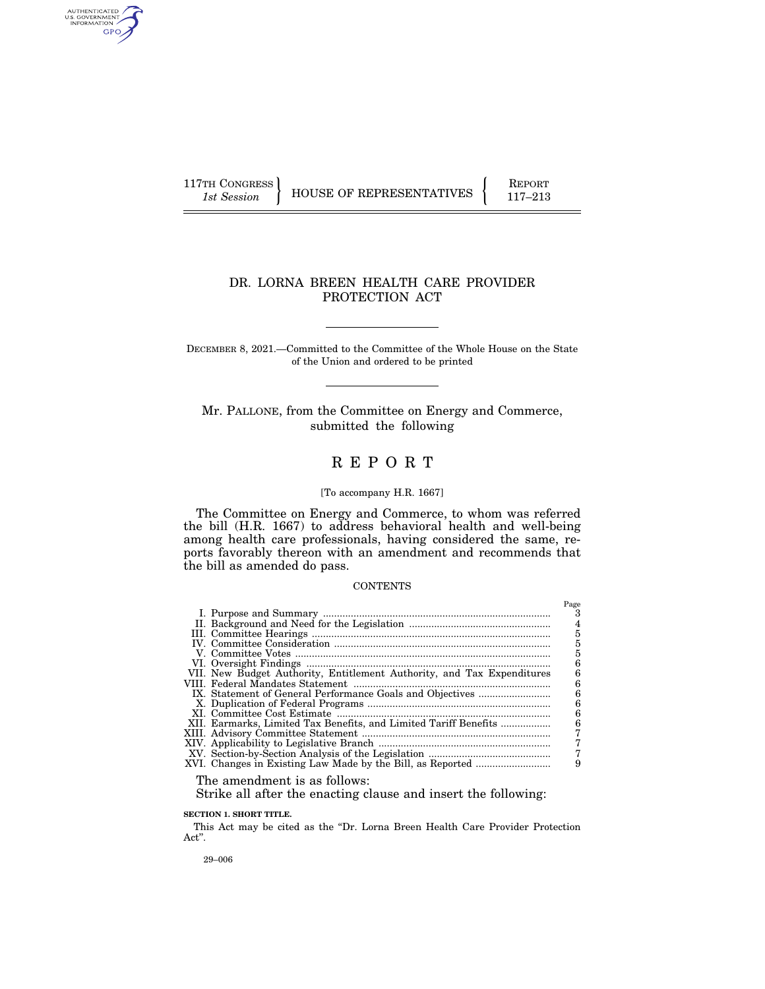AUTHENTICATED<br>U.S. GOVERNMENT<br>INFORMATION GPO

117TH CONGRESS HOUSE OF REPRESENTATIVES FEPORT 117-213

 $P_{\text{max}}$ 

# DR. LORNA BREEN HEALTH CARE PROVIDER PROTECTION ACT

DECEMBER 8, 2021.—Committed to the Committee of the Whole House on the State of the Union and ordered to be printed

Mr. PALLONE, from the Committee on Energy and Commerce, submitted the following

# R E P O R T

# [To accompany H.R. 1667]

The Committee on Energy and Commerce, to whom was referred the bill (H.R. 1667) to address behavioral health and well-being among health care professionals, having considered the same, reports favorably thereon with an amendment and recommends that the bill as amended do pass.

#### CONTENTS

|                                                                        | rage |
|------------------------------------------------------------------------|------|
|                                                                        |      |
|                                                                        |      |
|                                                                        |      |
|                                                                        | 5    |
|                                                                        | 5    |
|                                                                        | 6    |
| VII. New Budget Authority, Entitlement Authority, and Tax Expenditures | n    |
|                                                                        | 6    |
|                                                                        | 6    |
|                                                                        | 6    |
|                                                                        | 6    |
| XII. Earmarks, Limited Tax Benefits, and Limited Tariff Benefits       | 6    |
|                                                                        |      |
|                                                                        |      |
|                                                                        |      |
|                                                                        |      |
|                                                                        |      |

The amendment is as follows:

Strike all after the enacting clause and insert the following:

# **SECTION 1. SHORT TITLE.**

This Act may be cited as the ''Dr. Lorna Breen Health Care Provider Protection Act''.

29–006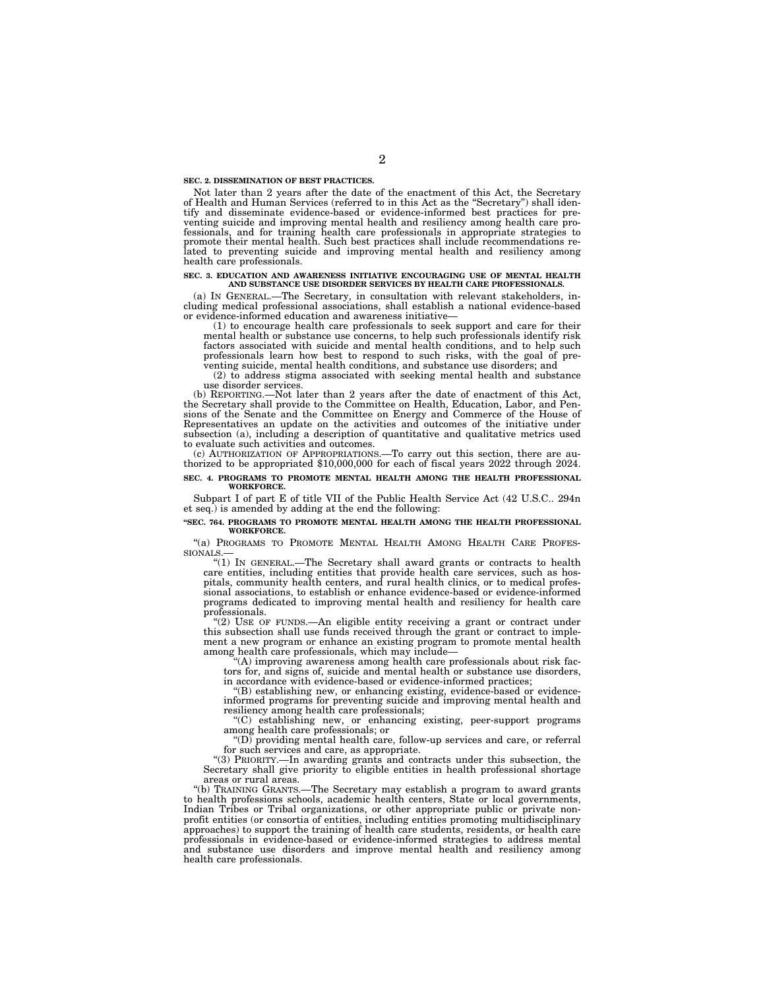#### **SEC. 2. DISSEMINATION OF BEST PRACTICES.**

Not later than 2 years after the date of the enactment of this Act, the Secretary of Health and Human Services (referred to in this Act as the ''Secretary'') shall identify and disseminate evidence-based or evidence-informed best practices for preventing suicide and improving mental health and resiliency among health care professionals, and for training health care professionals in appropriate strategies to promote their mental health. Such best practices shall include recommendations related to preventing suicide and improving mental health and resiliency among health care professionals.

#### **SEC. 3. EDUCATION AND AWARENESS INITIATIVE ENCOURAGING USE OF MENTAL HEALTH AND SUBSTANCE USE DISORDER SERVICES BY HEALTH CARE PROFESSIONALS.**

(a) IN GENERAL.—The Secretary, in consultation with relevant stakeholders, including medical professional associations, shall establish a national evidence-based or evidence-informed education and awareness initiative—

(1) to encourage health care professionals to seek support and care for their mental health or substance use concerns, to help such professionals identify risk factors associated with suicide and mental health conditions, and to help such professionals learn how best to respond to such risks, with the goal of preventing suicide, mental health conditions, and substance use disorders; and

(2) to address stigma associated with seeking mental health and substance use disorder services.

(b) REPORTING.—Not later than 2 years after the date of enactment of this Act, the Secretary shall provide to the Committee on Health, Education, Labor, and Pensions of the Senate and the Committee on Energy and Commerce of the House of Representatives an update on the activities and outcomes of the initiative under subsection (a), including a description of quantitative and qualitative metrics used to evaluate such activities and outcomes.<br>(c) AUTHORIZATION OF APPROPRIATIONS.—To carry out this section, there are au-

thorized to be appropriated  $$10,000,000$  for each of fiscal years 2022 through 2024.

#### **SEC. 4. PROGRAMS TO PROMOTE MENTAL HEALTH AMONG THE HEALTH PROFESSIONAL WORKFORCE.**

Subpart I of part E of title VII of the Public Health Service Act (42 U.S.C.. 294n et seq.) is amended by adding at the end the following:

#### **''SEC. 764. PROGRAMS TO PROMOTE MENTAL HEALTH AMONG THE HEALTH PROFESSIONAL WORKFORCE.**

"(a) PROGRAMS TO PROMOTE MENTAL HEALTH AMONG HEALTH CARE PROFES-<br>SIONALS.—<br>"(1) IN GENERAL.—The Secretary shall award grants or contracts to health

care entities, including entities that provide health care services, such as hos-pitals, community health centers, and rural health clinics, or to medical professional associations, to establish or enhance evidence-based or evidence-informed programs dedicated to improving mental health and resiliency for health care professionals.

''(2) USE OF FUNDS.—An eligible entity receiving a grant or contract under this subsection shall use funds received through the grant or contract to implement a new program or enhance an existing program to promote mental health among health care professionals, which may include—

''(A) improving awareness among health care professionals about risk factors for, and signs of, suicide and mental health or substance use disorders, in accordance with evidence-based or evidence-informed practices;

'(B) establishing new, or enhancing existing, evidence-based or evidenceinformed programs for preventing suicide and improving mental health and resiliency among health care professionals;

''(C) establishing new, or enhancing existing, peer-support programs among health care professionals; or

''(D) providing mental health care, follow-up services and care, or referral for such services and care, as appropriate.

''(3) PRIORITY.—In awarding grants and contracts under this subsection, the Secretary shall give priority to eligible entities in health professional shortage

areas or rural areas.<br>"(b) TRAINING GRANTS.--The Secretary may establish a program to award grants to health professions schools, academic health centers, State or local governments, Indian Tribes or Tribal organizations, or other appropriate public or private nonprofit entities (or consortia of entities, including entities promoting multidisciplinary approaches) to support the training of health care students, residents, or health care professionals in evidence-based or evidence-informed strategies to address mental and substance use disorders and improve mental health and resiliency among health care professionals.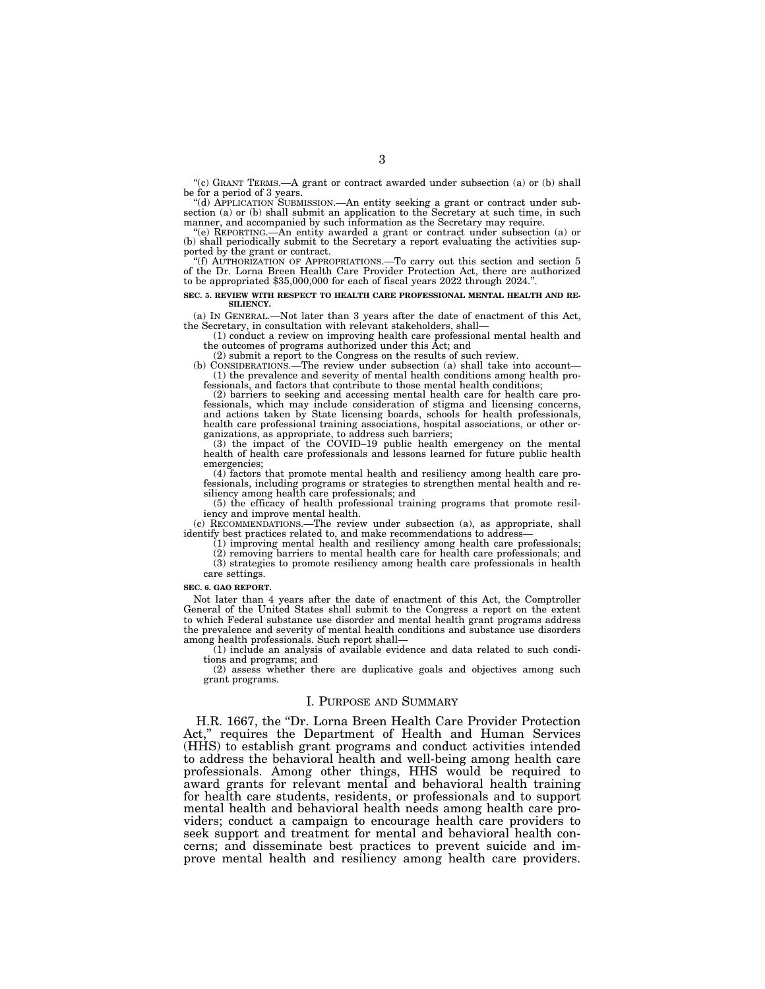"(c) GRANT TERMS.—A grant or contract awarded under subsection (a) or (b) shall be for a period of 3 years.

''(d) APPLICATION SUBMISSION.—An entity seeking a grant or contract under subsection (a) or (b) shall submit an application to the Secretary at such time, in such manner, and accompanied by such information as the Secretary may require.

''(e) REPORTING.—An entity awarded a grant or contract under subsection (a) or (b) shall periodically submit to the Secretary a report evaluating the activities supported by the grant or contract.

''(f) AUTHORIZATION OF APPROPRIATIONS.—To carry out this section and section 5 of the Dr. Lorna Breen Health Care Provider Protection Act, there are authorized to be appropriated \$35,000,000 for each of fiscal years 2022 through 2024.''.

#### **SEC. 5. REVIEW WITH RESPECT TO HEALTH CARE PROFESSIONAL MENTAL HEALTH AND RE-SILIENCY.**

(a) IN GENERAL.—Not later than 3 years after the date of enactment of this Act, the Secretary, in consultation with relevant stakeholders, shall—

(1) conduct a review on improving health care professional mental health and the outcomes of programs authorized under this Act; and

(2) submit a report to the Congress on the results of such review.

(b) CONSIDERATIONS.—The review under subsection (a) shall take into account— (1) the prevalence and severity of mental health conditions among health professionals, and factors that contribute to those mental health conditions;

(2) barriers to seeking and accessing mental health care for health care professionals, which may include consideration of stigma and licensing concerns, and actions taken by State licensing boards, schools for health professionals, health care professional training associations, hospital associations, or other organizations, as appropriate, to address such barriers;

 $(3)$  the impact of the COVID–19 public health emergency on the mental health of health care professionals and lessons learned for future public health emergencies;

(4) factors that promote mental health and resiliency among health care professionals, including programs or strategies to strengthen mental health and resiliency among health care professionals; and

(5) the efficacy of health professional training programs that promote resiliency and improve mental health.

(c) RECOMMENDATIONS.—The review under subsection (a), as appropriate, shall identify best practices related to, and make recommendations to address—

(1) improving mental health and resiliency among health care professionals; (2) removing barriers to mental health care for health care professionals; and (3) strategies to promote resiliency among health care professionals in health

# care settings.

#### **SEC. 6. GAO REPORT.**

Not later than 4 years after the date of enactment of this Act, the Comptroller General of the United States shall submit to the Congress a report on the extent to which Federal substance use disorder and mental health grant programs address the prevalence and severity of mental health conditions and substance use disorders among health professionals. Such report shall—

 $(1)$  include an analysis of available evidence and data related to such conditions and programs; and

(2) assess whether there are duplicative goals and objectives among such grant programs.

#### I. PURPOSE AND SUMMARY

H.R. 1667, the ''Dr. Lorna Breen Health Care Provider Protection Act," requires the Department of Health and Human Services (HHS) to establish grant programs and conduct activities intended to address the behavioral health and well-being among health care professionals. Among other things, HHS would be required to award grants for relevant mental and behavioral health training for health care students, residents, or professionals and to support mental health and behavioral health needs among health care providers; conduct a campaign to encourage health care providers to seek support and treatment for mental and behavioral health concerns; and disseminate best practices to prevent suicide and improve mental health and resiliency among health care providers.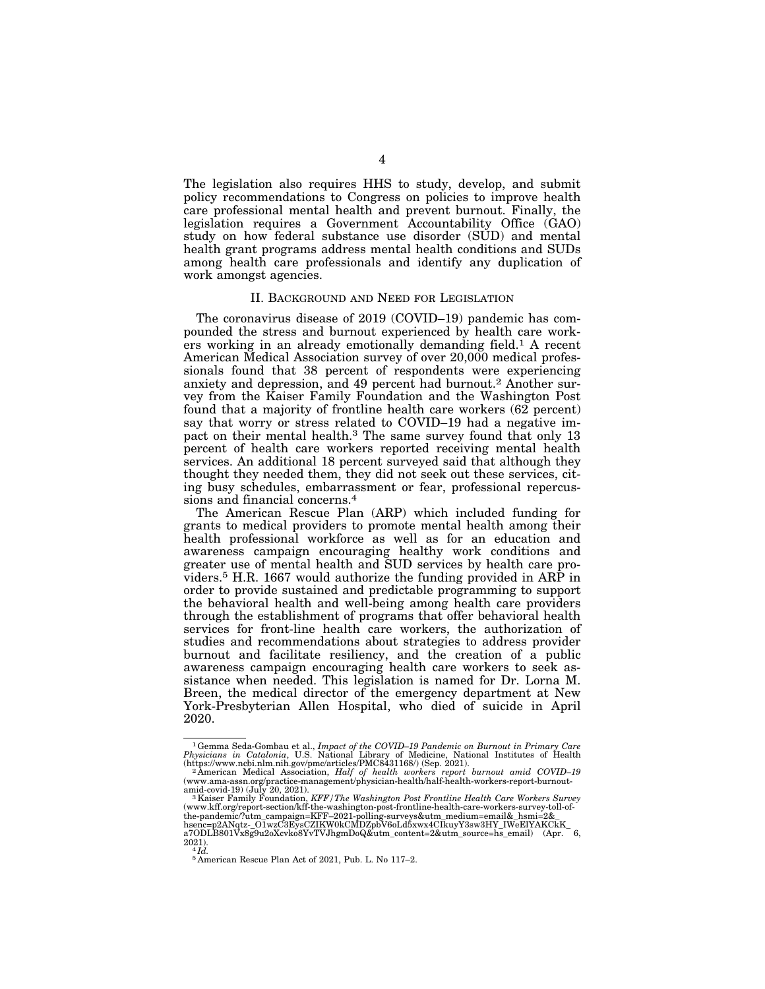The legislation also requires HHS to study, develop, and submit policy recommendations to Congress on policies to improve health care professional mental health and prevent burnout. Finally, the legislation requires a Government Accountability Office (GAO) study on how federal substance use disorder (SUD) and mental health grant programs address mental health conditions and SUDs among health care professionals and identify any duplication of work amongst agencies.

# II. BACKGROUND AND NEED FOR LEGISLATION

The coronavirus disease of 2019 (COVID–19) pandemic has compounded the stress and burnout experienced by health care workers working in an already emotionally demanding field.1 A recent American Medical Association survey of over 20,000 medical professionals found that 38 percent of respondents were experiencing anxiety and depression, and 49 percent had burnout.2 Another survey from the Kaiser Family Foundation and the Washington Post found that a majority of frontline health care workers (62 percent) say that worry or stress related to COVID–19 had a negative impact on their mental health.3 The same survey found that only 13 percent of health care workers reported receiving mental health services. An additional 18 percent surveyed said that although they thought they needed them, they did not seek out these services, citing busy schedules, embarrassment or fear, professional repercussions and financial concerns.4

The American Rescue Plan (ARP) which included funding for grants to medical providers to promote mental health among their health professional workforce as well as for an education and awareness campaign encouraging healthy work conditions and greater use of mental health and SUD services by health care providers.5 H.R. 1667 would authorize the funding provided in ARP in order to provide sustained and predictable programming to support the behavioral health and well-being among health care providers through the establishment of programs that offer behavioral health services for front-line health care workers, the authorization of studies and recommendations about strategies to address provider burnout and facilitate resiliency, and the creation of a public awareness campaign encouraging health care workers to seek assistance when needed. This legislation is named for Dr. Lorna M. Breen, the medical director of the emergency department at New York-Presbyterian Allen Hospital, who died of suicide in April 2020.

<sup>&</sup>lt;sup>1</sup> Gemma Seda-Gombau et al., *Impact of the COVID-19 Pandemic on Burnout in Primary Care*<br>*Physicians in Catalonia*, U.S. National Library of Medicine, National Institutes of Health<br>(https://www.ncbi.nlm.nih.gov/pmc/arti

amid-covid-19) (July 20, 2021).<br>"A Kaiser Family Foundation, *KFF | The Washington Post Frontline Health Care Workers Survey*<br>(www.kff.org/report-section/kff-the-washington-post-frontline-health-care-workers-survey-toll-of the-pandemic/?utm\_campaign=KFF-2021-polling-surveys&utm\_medium=email&\_hsmi=2&\_hsenc=p2ANqtz-\_O1wzC3EysCZIKW0kCMDZpbV6oLd5xwx4CIkuyY3sw3HY\_IWeElYAKCkK\_<br>a7ODLB801Vx8g9u2oXcvko8YvTVJhgmDoQ&utm\_content=2&utm\_source=hs\_email) (

 $^{2021)}$ .<br> $^{4}$ *Id.* 

<sup>5</sup> American Rescue Plan Act of 2021, Pub. L. No 117–2.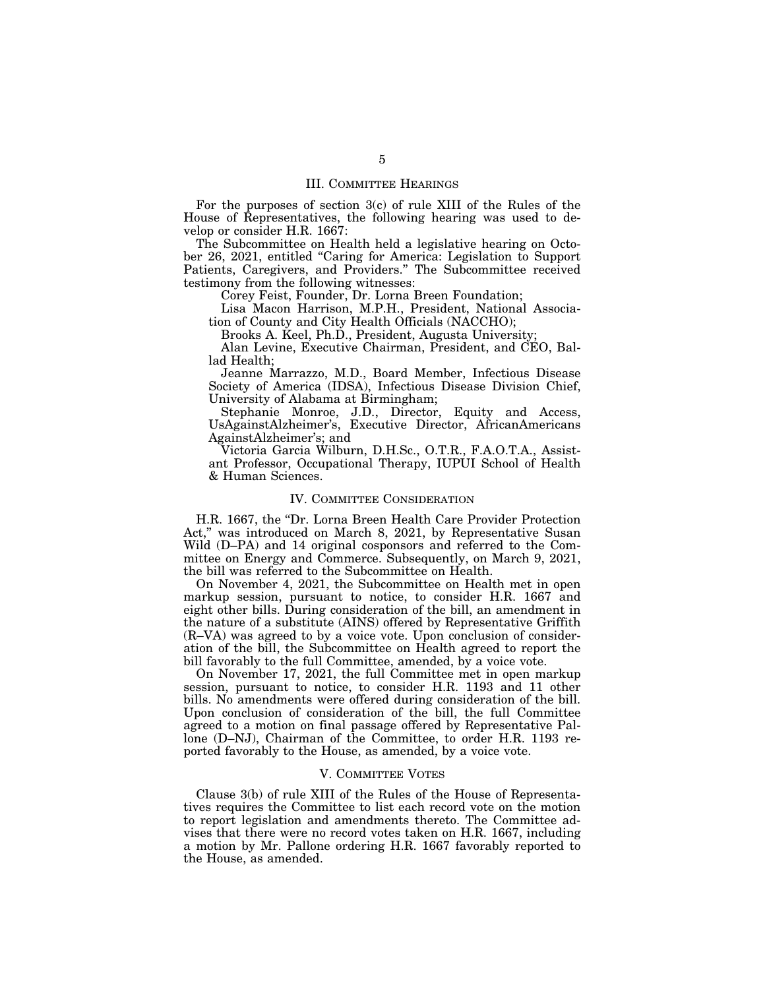# III. COMMITTEE HEARINGS

For the purposes of section 3(c) of rule XIII of the Rules of the House of Representatives, the following hearing was used to develop or consider H.R. 1667:

The Subcommittee on Health held a legislative hearing on October 26, 2021, entitled ''Caring for America: Legislation to Support Patients, Caregivers, and Providers.'' The Subcommittee received testimony from the following witnesses:

Corey Feist, Founder, Dr. Lorna Breen Foundation;

Lisa Macon Harrison, M.P.H., President, National Association of County and City Health Officials (NACCHO);

Brooks A. Keel, Ph.D., President, Augusta University;

Alan Levine, Executive Chairman, President, and CEO, Ballad Health;

Jeanne Marrazzo, M.D., Board Member, Infectious Disease Society of America (IDSA), Infectious Disease Division Chief, University of Alabama at Birmingham;

Stephanie Monroe, J.D., Director, Equity and Access, UsAgainstAlzheimer's, Executive Director, AfricanAmericans AgainstAlzheimer's; and

Victoria Garcia Wilburn, D.H.Sc., O.T.R., F.A.O.T.A., Assistant Professor, Occupational Therapy, IUPUI School of Health & Human Sciences.

#### IV. COMMITTEE CONSIDERATION

H.R. 1667, the "Dr. Lorna Breen Health Care Provider Protection Act," was introduced on March 8, 2021, by Representative Susan Wild (D–PA) and 14 original cosponsors and referred to the Committee on Energy and Commerce. Subsequently, on March 9, 2021, the bill was referred to the Subcommittee on Health.

On November 4, 2021, the Subcommittee on Health met in open markup session, pursuant to notice, to consider H.R. 1667 and eight other bills. During consideration of the bill, an amendment in the nature of a substitute (AINS) offered by Representative Griffith (R–VA) was agreed to by a voice vote. Upon conclusion of consideration of the bill, the Subcommittee on Health agreed to report the bill favorably to the full Committee, amended, by a voice vote.

On November 17, 2021, the full Committee met in open markup session, pursuant to notice, to consider H.R. 1193 and 11 other bills. No amendments were offered during consideration of the bill. Upon conclusion of consideration of the bill, the full Committee agreed to a motion on final passage offered by Representative Pallone (D–NJ), Chairman of the Committee, to order H.R. 1193 reported favorably to the House, as amended, by a voice vote.

#### V. COMMITTEE VOTES

Clause 3(b) of rule XIII of the Rules of the House of Representatives requires the Committee to list each record vote on the motion to report legislation and amendments thereto. The Committee advises that there were no record votes taken on H.R. 1667, including a motion by Mr. Pallone ordering H.R. 1667 favorably reported to the House, as amended.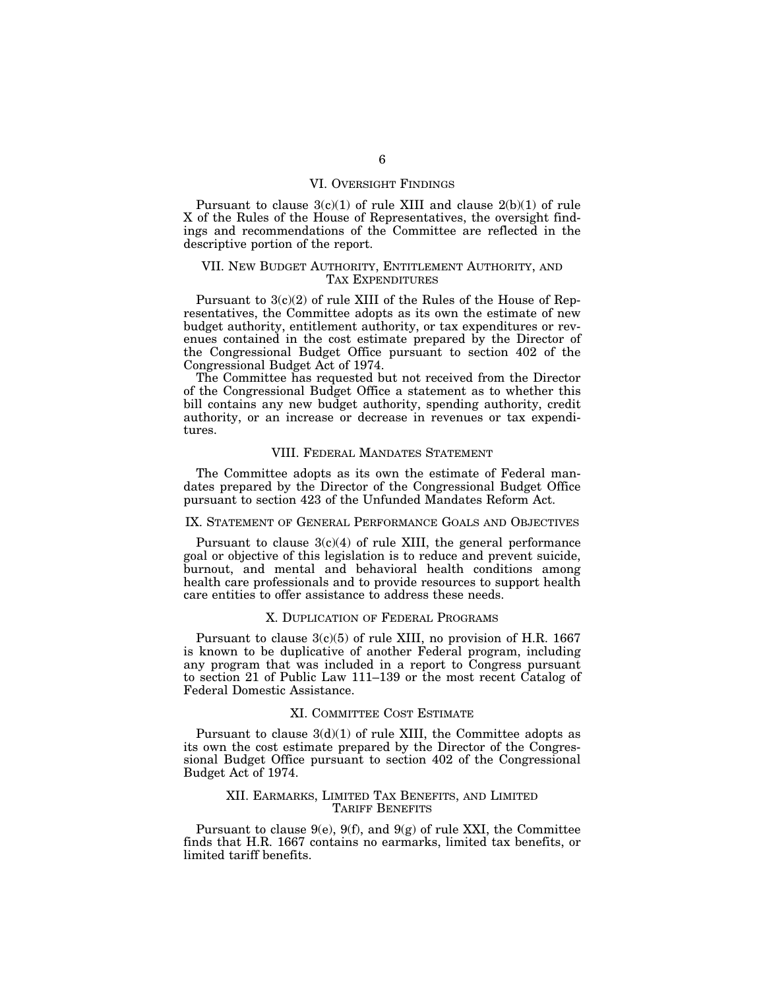# VI. OVERSIGHT FINDINGS

Pursuant to clause 3(c)(1) of rule XIII and clause 2(b)(1) of rule X of the Rules of the House of Representatives, the oversight findings and recommendations of the Committee are reflected in the descriptive portion of the report.

# VII. NEW BUDGET AUTHORITY, ENTITLEMENT AUTHORITY, AND TAX EXPENDITURES

Pursuant to 3(c)(2) of rule XIII of the Rules of the House of Representatives, the Committee adopts as its own the estimate of new budget authority, entitlement authority, or tax expenditures or revenues contained in the cost estimate prepared by the Director of the Congressional Budget Office pursuant to section 402 of the Congressional Budget Act of 1974.

The Committee has requested but not received from the Director of the Congressional Budget Office a statement as to whether this bill contains any new budget authority, spending authority, credit authority, or an increase or decrease in revenues or tax expenditures.

# VIII. FEDERAL MANDATES STATEMENT

The Committee adopts as its own the estimate of Federal mandates prepared by the Director of the Congressional Budget Office pursuant to section 423 of the Unfunded Mandates Reform Act.

# IX. STATEMENT OF GENERAL PERFORMANCE GOALS AND OBJECTIVES

Pursuant to clause  $3(c)(4)$  of rule XIII, the general performance goal or objective of this legislation is to reduce and prevent suicide, burnout, and mental and behavioral health conditions among health care professionals and to provide resources to support health care entities to offer assistance to address these needs.

# X. DUPLICATION OF FEDERAL PROGRAMS

Pursuant to clause 3(c)(5) of rule XIII, no provision of H.R. 1667 is known to be duplicative of another Federal program, including any program that was included in a report to Congress pursuant to section 21 of Public Law 111–139 or the most recent Catalog of Federal Domestic Assistance.

### XI. COMMITTEE COST ESTIMATE

Pursuant to clause  $3(d)(1)$  of rule XIII, the Committee adopts as its own the cost estimate prepared by the Director of the Congressional Budget Office pursuant to section 402 of the Congressional Budget Act of 1974.

# XII. EARMARKS, LIMITED TAX BENEFITS, AND LIMITED TARIFF BENEFITS

Pursuant to clause  $9(e)$ ,  $9(f)$ , and  $9(g)$  of rule XXI, the Committee finds that H.R. 1667 contains no earmarks, limited tax benefits, or limited tariff benefits.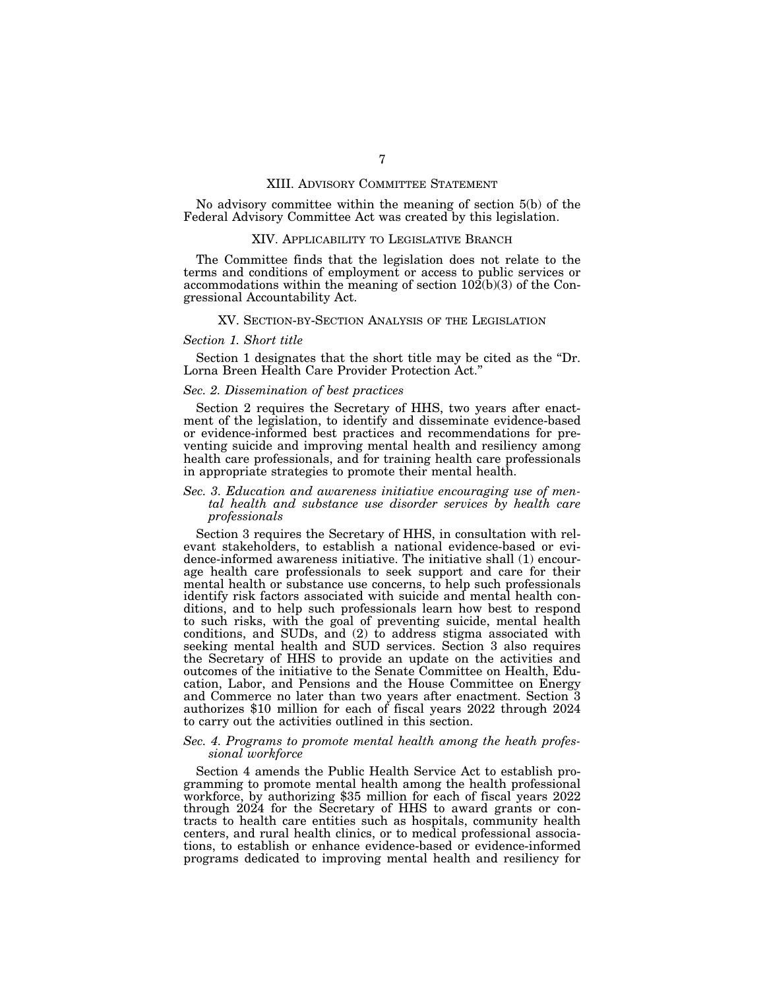#### XIII. ADVISORY COMMITTEE STATEMENT

No advisory committee within the meaning of section 5(b) of the Federal Advisory Committee Act was created by this legislation.

#### XIV. APPLICABILITY TO LEGISLATIVE BRANCH

The Committee finds that the legislation does not relate to the terms and conditions of employment or access to public services or accommodations within the meaning of section  $10\overline{2(b)}(3)$  of the Congressional Accountability Act.

### XV. SECTION-BY-SECTION ANALYSIS OF THE LEGISLATION

#### *Section 1. Short title*

Section 1 designates that the short title may be cited as the ''Dr. Lorna Breen Health Care Provider Protection Act.''

### *Sec. 2. Dissemination of best practices*

Section 2 requires the Secretary of HHS, two years after enactment of the legislation, to identify and disseminate evidence-based or evidence-informed best practices and recommendations for preventing suicide and improving mental health and resiliency among health care professionals, and for training health care professionals in appropriate strategies to promote their mental health.

### *Sec. 3. Education and awareness initiative encouraging use of mental health and substance use disorder services by health care professionals*

Section 3 requires the Secretary of HHS, in consultation with relevant stakeholders, to establish a national evidence-based or evidence-informed awareness initiative. The initiative shall (1) encourage health care professionals to seek support and care for their mental health or substance use concerns, to help such professionals identify risk factors associated with suicide and mental health conditions, and to help such professionals learn how best to respond to such risks, with the goal of preventing suicide, mental health conditions, and SUDs, and (2) to address stigma associated with seeking mental health and SUD services. Section 3 also requires the Secretary of HHS to provide an update on the activities and outcomes of the initiative to the Senate Committee on Health, Education, Labor, and Pensions and the House Committee on Energy and Commerce no later than two years after enactment. Section 3 authorizes \$10 million for each of fiscal years 2022 through 2024 to carry out the activities outlined in this section.

### *Sec. 4. Programs to promote mental health among the heath professional workforce*

Section 4 amends the Public Health Service Act to establish programming to promote mental health among the health professional workforce, by authorizing \$35 million for each of fiscal years 2022 through 2024 for the Secretary of HHS to award grants or contracts to health care entities such as hospitals, community health centers, and rural health clinics, or to medical professional associations, to establish or enhance evidence-based or evidence-informed programs dedicated to improving mental health and resiliency for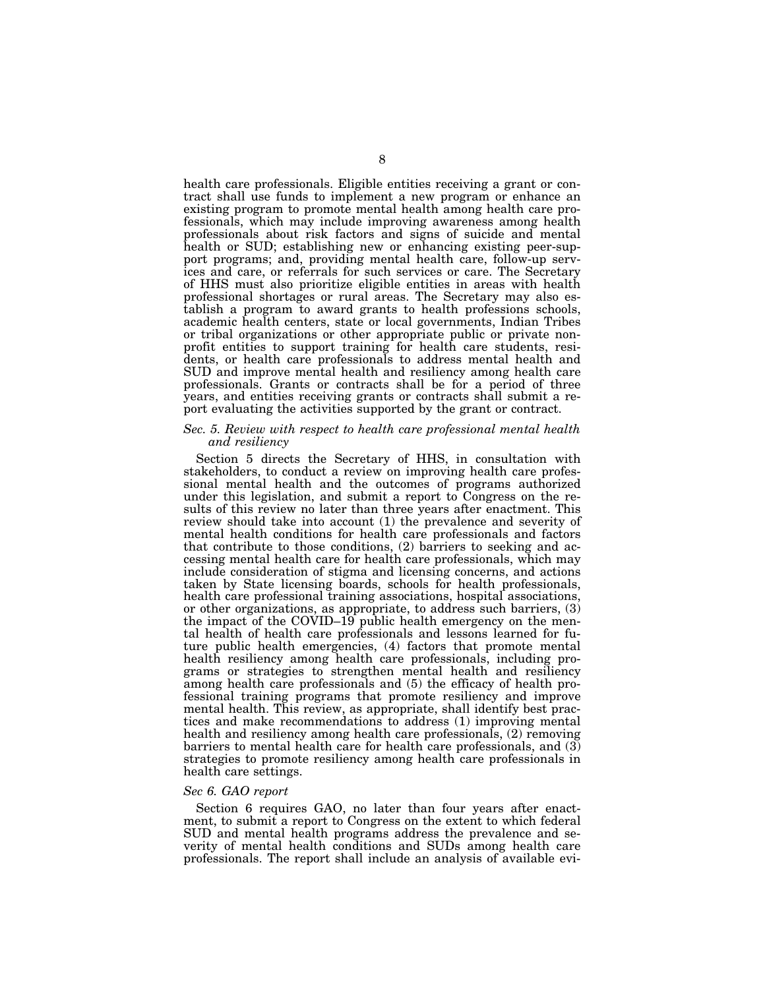health care professionals. Eligible entities receiving a grant or contract shall use funds to implement a new program or enhance an existing program to promote mental health among health care professionals, which may include improving awareness among health professionals about risk factors and signs of suicide and mental health or SUD; establishing new or enhancing existing peer-support programs; and, providing mental health care, follow-up services and care, or referrals for such services or care. The Secretary of HHS must also prioritize eligible entities in areas with health professional shortages or rural areas. The Secretary may also establish a program to award grants to health professions schools, academic health centers, state or local governments, Indian Tribes or tribal organizations or other appropriate public or private nonprofit entities to support training for health care students, residents, or health care professionals to address mental health and SUD and improve mental health and resiliency among health care professionals. Grants or contracts shall be for a period of three years, and entities receiving grants or contracts shall submit a report evaluating the activities supported by the grant or contract.

# *Sec. 5. Review with respect to health care professional mental health and resiliency*

Section 5 directs the Secretary of HHS, in consultation with stakeholders, to conduct a review on improving health care professional mental health and the outcomes of programs authorized under this legislation, and submit a report to Congress on the results of this review no later than three years after enactment. This review should take into account (1) the prevalence and severity of mental health conditions for health care professionals and factors that contribute to those conditions, (2) barriers to seeking and accessing mental health care for health care professionals, which may include consideration of stigma and licensing concerns, and actions taken by State licensing boards, schools for health professionals, health care professional training associations, hospital associations, or other organizations, as appropriate, to address such barriers, (3) the impact of the COVID–19 public health emergency on the mental health of health care professionals and lessons learned for future public health emergencies, (4) factors that promote mental health resiliency among health care professionals, including programs or strategies to strengthen mental health and resiliency among health care professionals and (5) the efficacy of health professional training programs that promote resiliency and improve mental health. This review, as appropriate, shall identify best practices and make recommendations to address (1) improving mental health and resiliency among health care professionals, (2) removing barriers to mental health care for health care professionals, and (3) strategies to promote resiliency among health care professionals in health care settings.

#### *Sec 6. GAO report*

Section 6 requires GAO, no later than four years after enactment, to submit a report to Congress on the extent to which federal SUD and mental health programs address the prevalence and severity of mental health conditions and SUDs among health care professionals. The report shall include an analysis of available evi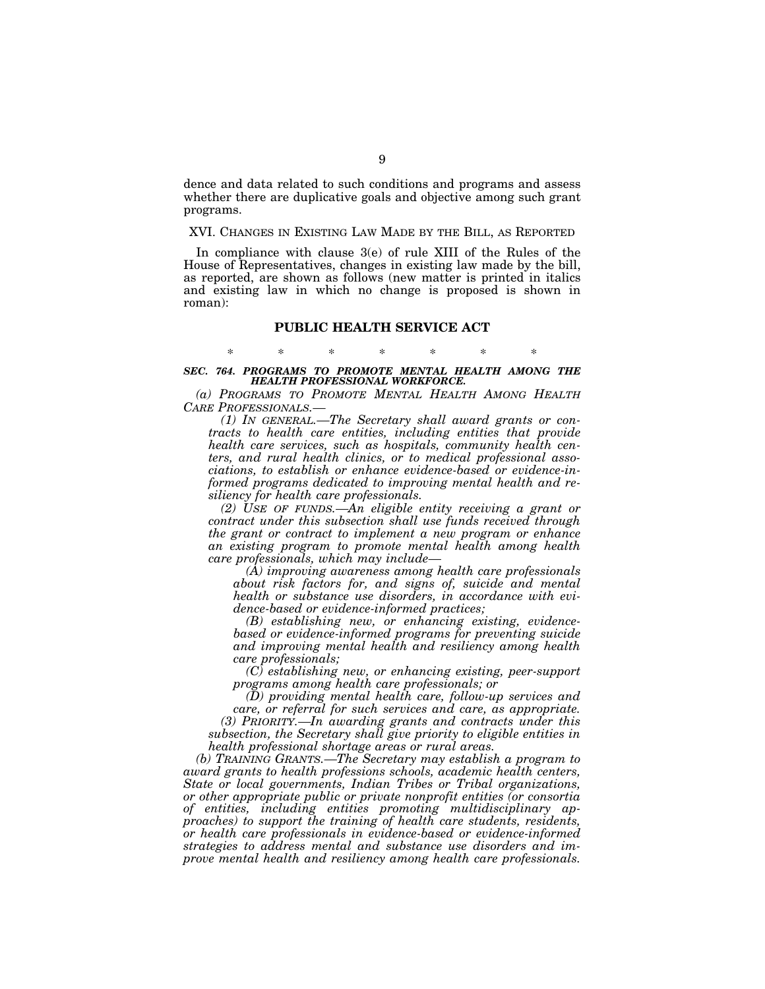dence and data related to such conditions and programs and assess whether there are duplicative goals and objective among such grant programs.

# XVI. CHANGES IN EXISTING LAW MADE BY THE BILL, AS REPORTED

In compliance with clause 3(e) of rule XIII of the Rules of the House of Representatives, changes in existing law made by the bill, as reported, are shown as follows (new matter is printed in italics and existing law in which no change is proposed is shown in roman):

#### **PUBLIC HEALTH SERVICE ACT**

# \* \* \* \* \* \* \* *SEC. 764. PROGRAMS TO PROMOTE MENTAL HEALTH AMONG THE HEALTH PROFESSIONAL WORKFORCE.*

*(a) PROGRAMS TO PROMOTE MENTAL HEALTH AMONG HEALTH CARE PROFESSIONALS.—* 

*(1) IN GENERAL.—The Secretary shall award grants or contracts to health care entities, including entities that provide health care services, such as hospitals, community health centers, and rural health clinics, or to medical professional associations, to establish or enhance evidence-based or evidence-informed programs dedicated to improving mental health and resiliency for health care professionals.* 

*(2) USE OF FUNDS.—An eligible entity receiving a grant or contract under this subsection shall use funds received through the grant or contract to implement a new program or enhance an existing program to promote mental health among health care professionals, which may include—* 

*(A) improving awareness among health care professionals about risk factors for, and signs of, suicide and mental health or substance use disorders, in accordance with evidence-based or evidence-informed practices;* 

*(B) establishing new, or enhancing existing, evidencebased or evidence-informed programs for preventing suicide and improving mental health and resiliency among health care professionals;* 

*(C) establishing new, or enhancing existing, peer-support programs among health care professionals; or* 

*(D) providing mental health care, follow-up services and care, or referral for such services and care, as appropriate. (3) PRIORITY.—In awarding grants and contracts under this* 

*subsection, the Secretary shall give priority to eligible entities in health professional shortage areas or rural areas.* 

*(b) TRAINING GRANTS.—The Secretary may establish a program to award grants to health professions schools, academic health centers, State or local governments, Indian Tribes or Tribal organizations, or other appropriate public or private nonprofit entities (or consortia of entities, including entities promoting multidisciplinary approaches) to support the training of health care students, residents, or health care professionals in evidence-based or evidence-informed strategies to address mental and substance use disorders and improve mental health and resiliency among health care professionals.*